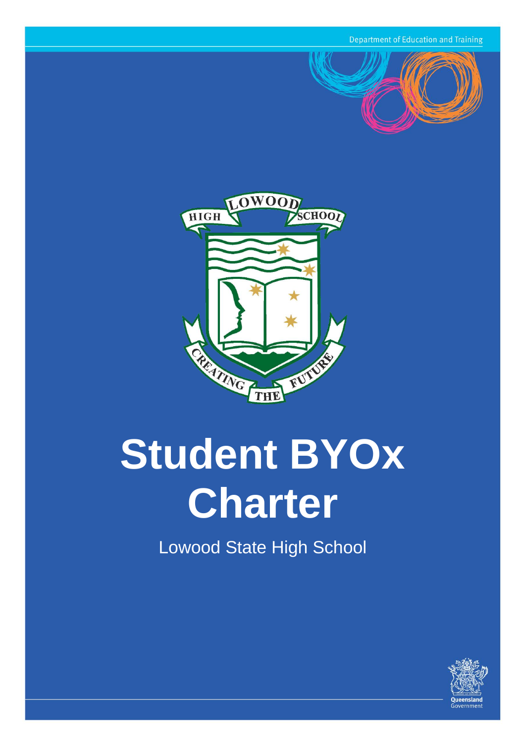**Department of Education and Training** 





# **Student BYOx Charter**

Lowood State High School

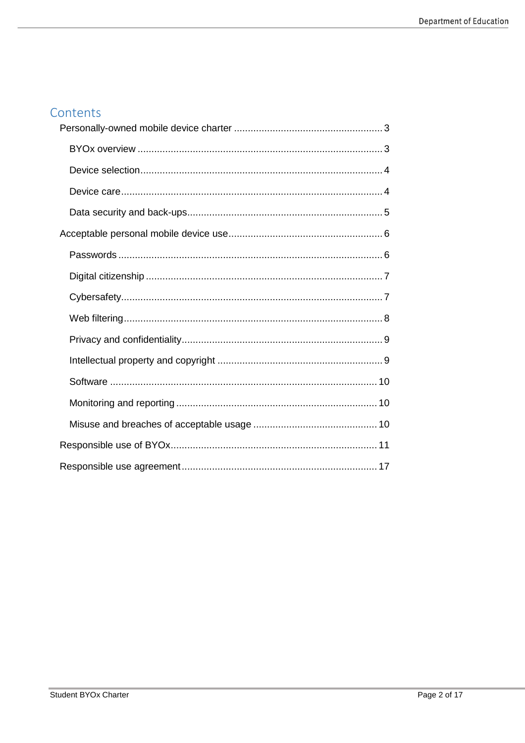## Contents

<span id="page-1-0"></span>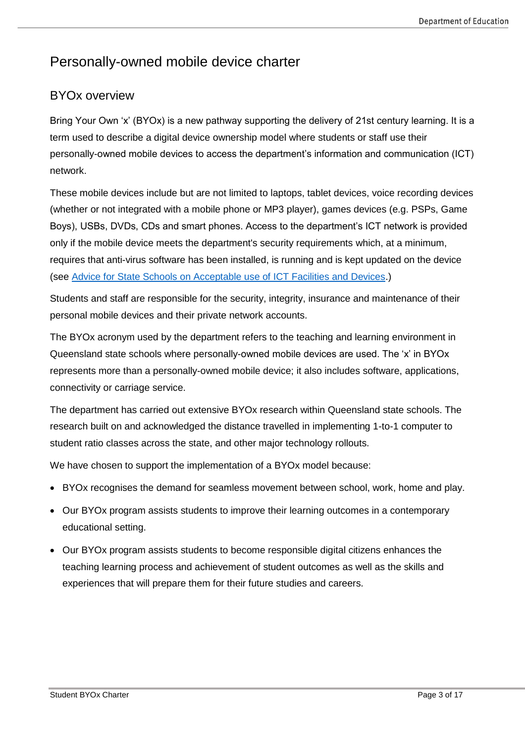# Personally-owned mobile device charter

## <span id="page-2-0"></span>BYOx overview

Bring Your Own 'x' (BYOx) is a new pathway supporting the delivery of 21st century learning. It is a term used to describe a digital device ownership model where students or staff use their personally-owned mobile devices to access the department's information and communication (ICT) network.

These mobile devices include but are not limited to laptops, tablet devices, voice recording devices (whether or not integrated with a mobile phone or MP3 player), games devices (e.g. PSPs, Game Boys), USBs, DVDs, CDs and smart phones. Access to the department's ICT network is provided only if the mobile device meets the department's security requirements which, at a minimum, requires that anti-virus software has been installed, is running and is kept updated on the device (see [Advice for State Schools on Acceptable use of ICT Facilities and Devices.](http://ppr.det.qld.gov.au/corp/ict/management/Procedure%20Attachments/use-of-mobile-devices/use-of-mobile-devices.pdf))

Students and staff are responsible for the security, integrity, insurance and maintenance of their personal mobile devices and their private network accounts.

The BYOx acronym used by the department refers to the teaching and learning environment in Queensland state schools where personally-owned mobile devices are used. The 'x' in BYOx represents more than a personally-owned mobile device; it also includes software, applications, connectivity or carriage service.

The department has carried out extensive BYOx research within Queensland state schools. The research built on and acknowledged the distance travelled in implementing 1-to-1 computer to student ratio classes across the state, and other major technology rollouts.

We have chosen to support the implementation of a BYOx model because:

- BYOx recognises the demand for seamless movement between school, work, home and play.
- Our BYOx program assists students to improve their learning outcomes in a contemporary educational setting.
- <span id="page-2-1"></span>• Our BYOx program assists students to become responsible digital citizens enhances the teaching learning process and achievement of student outcomes as well as the skills and experiences that will prepare them for their future studies and careers.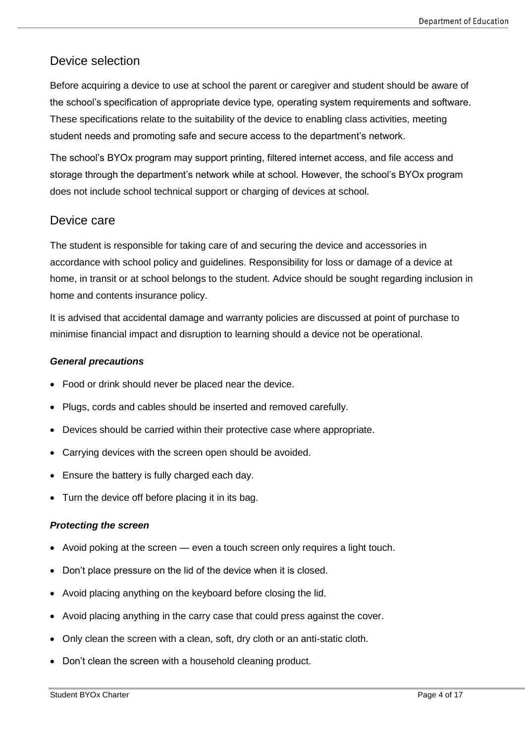## Device selection

Before acquiring a device to use at school the parent or caregiver and student should be aware of the school's specification of appropriate device type, operating system requirements and software. These specifications relate to the suitability of the device to enabling class activities, meeting student needs and promoting safe and secure access to the department's network.

The school's BYOx program may support printing, filtered internet access, and file access and storage through the department's network while at school. However, the school's BYOx program does not include school technical support or charging of devices at school.

#### <span id="page-3-0"></span>Device care

The student is responsible for taking care of and securing the device and accessories in accordance with school policy and guidelines. Responsibility for loss or damage of a device at home, in transit or at school belongs to the student. Advice should be sought regarding inclusion in home and contents insurance policy.

It is advised that accidental damage and warranty policies are discussed at point of purchase to minimise financial impact and disruption to learning should a device not be operational.

#### *General precautions*

- Food or drink should never be placed near the device.
- Plugs, cords and cables should be inserted and removed carefully.
- Devices should be carried within their protective case where appropriate.
- Carrying devices with the screen open should be avoided.
- Ensure the battery is fully charged each day.
- Turn the device off before placing it in its bag.

#### *Protecting the screen*

- Avoid poking at the screen even a touch screen only requires a light touch.
- Don't place pressure on the lid of the device when it is closed.
- Avoid placing anything on the keyboard before closing the lid.
- Avoid placing anything in the carry case that could press against the cover.
- Only clean the screen with a clean, soft, dry cloth or an anti-static cloth.
- Don't clean the screen with a household cleaning product.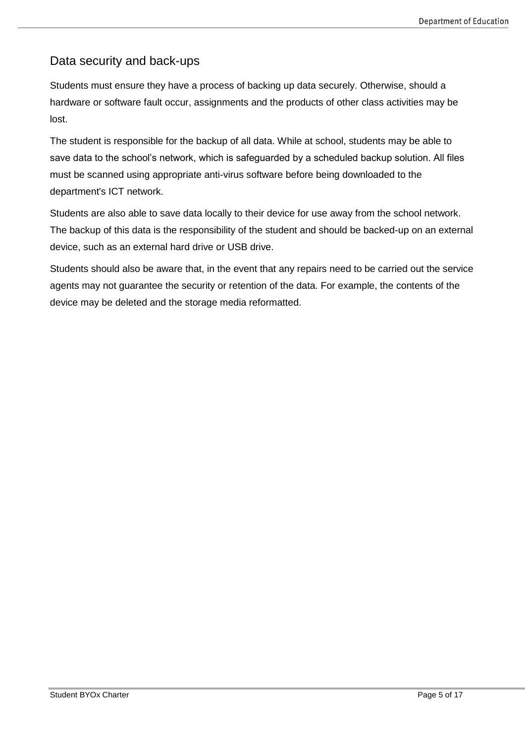## <span id="page-4-0"></span>Data security and back-ups

Students must ensure they have a process of backing up data securely. Otherwise, should a hardware or software fault occur, assignments and the products of other class activities may be lost.

The student is responsible for the backup of all data. While at school, students may be able to save data to the school's network, which is safeguarded by a scheduled backup solution. All files must be scanned using appropriate anti-virus software before being downloaded to the department's ICT network.

Students are also able to save data locally to their device for use away from the school network. The backup of this data is the responsibility of the student and should be backed-up on an external device, such as an external hard drive or USB drive.

Students should also be aware that, in the event that any repairs need to be carried out the service agents may not guarantee the security or retention of the data. For example, the contents of the device may be deleted and the storage media reformatted.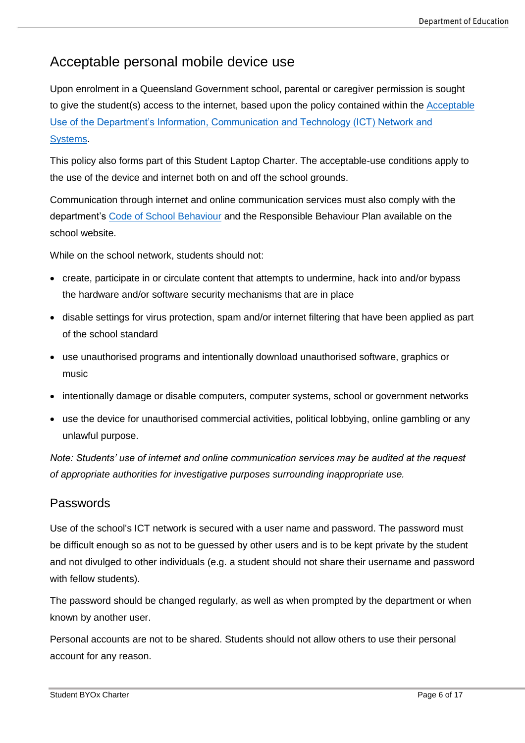# <span id="page-5-0"></span>Acceptable personal mobile device use

Upon enrolment in a Queensland Government school, parental or caregiver permission is sought to give the student(s) access to the internet, based upon the policy contained within the [Acceptable](http://ppr.det.qld.gov.au/corp/ict/management/Procedure%20Attachments/use-of-ict-systems/use-of-ict-systems.pdf)  [Use of the Department's Information, Communication and Technology \(ICT\) Network and](http://ppr.det.qld.gov.au/corp/ict/management/Procedure%20Attachments/use-of-ict-systems/use-of-ict-systems.pdf)  [Systems.](http://ppr.det.qld.gov.au/corp/ict/management/Procedure%20Attachments/use-of-ict-systems/use-of-ict-systems.pdf)

This policy also forms part of this Student Laptop Charter. The acceptable-use conditions apply to the use of the device and internet both on and off the school grounds.

Communication through internet and online communication services must also comply with the department's [Code of School Behaviour](http://behaviour.education.qld.gov.au/disciplinary-decisions/code-school-behaviour/Pages/default.aspx) and the Responsible Behaviour Plan available on the school website.

While on the school network, students should not:

- create, participate in or circulate content that attempts to undermine, hack into and/or bypass the hardware and/or software security mechanisms that are in place
- disable settings for virus protection, spam and/or internet filtering that have been applied as part of the school standard
- use unauthorised programs and intentionally download unauthorised software, graphics or music
- intentionally damage or disable computers, computer systems, school or government networks
- use the device for unauthorised commercial activities, political lobbying, online gambling or any unlawful purpose.

*Note: Students' use of internet and online communication services may be audited at the request of appropriate authorities for investigative purposes surrounding inappropriate use.* 

### <span id="page-5-1"></span>Passwords

Use of the school's ICT network is secured with a user name and password. The password must be difficult enough so as not to be guessed by other users and is to be kept private by the student and not divulged to other individuals (e.g. a student should not share their username and password with fellow students).

The password should be changed regularly, as well as when prompted by the department or when known by another user.

Personal accounts are not to be shared. Students should not allow others to use their personal account for any reason.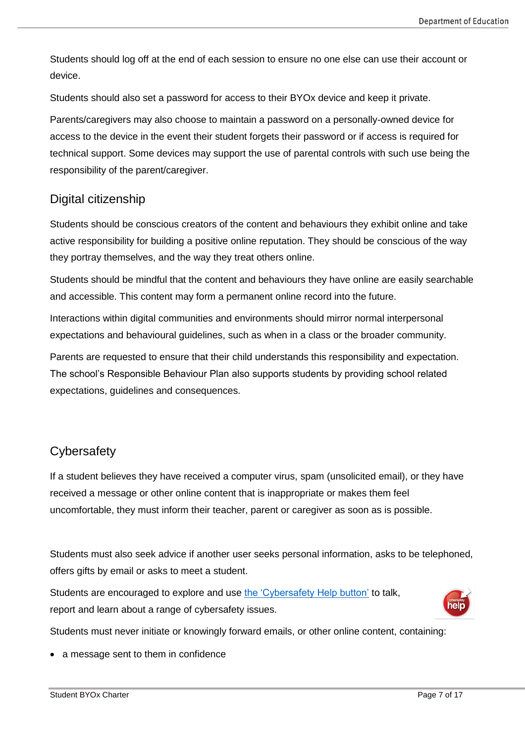Students should log off at the end of each session to ensure no one else can use their account or device.

Students should also set a password for access to their BYOx device and keep it private.

Parents/caregivers may also choose to maintain a password on a personally-owned device for access to the device in the event their student forgets their password or if access is required for technical support. Some devices may support the use of parental controls with such use being the responsibility of the parent/caregiver.

## <span id="page-6-0"></span>Digital citizenship

Students should be conscious creators of the content and behaviours they exhibit online and take active responsibility for building a positive online reputation. They should be conscious of the way they portray themselves, and the way they treat others online.

Students should be mindful that the content and behaviours they have online are easily searchable and accessible. This content may form a permanent online record into the future.

Interactions within digital communities and environments should mirror normal interpersonal expectations and behavioural guidelines, such as when in a class or the broader community.

Parents are requested to ensure that their child understands this responsibility and expectation. The school's Responsible Behaviour Plan also supports students by providing school related expectations, guidelines and consequences.

## <span id="page-6-1"></span>**Cybersafety**

If a student believes they have received a computer virus, spam (unsolicited email), or they have received a message or other online content that is inappropriate or makes them feel uncomfortable, they must inform their teacher, parent or caregiver as soon as is possible.

Students must also seek advice if another user seeks personal information, asks to be telephoned, offers gifts by email or asks to meet a student.

Students are encouraged to explore and use [the 'Cybersafety](http://behaviour.education.qld.gov.au/cybersafety/Pages/students.aspx) Help button' to talk, report and learn about a range of cybersafety issues.



Students must never initiate or knowingly forward emails, or other online content, containing:

• a message sent to them in confidence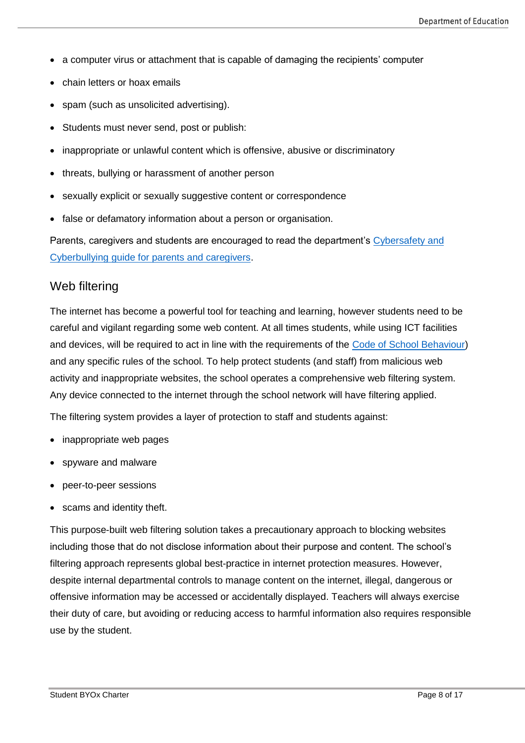- a computer virus or attachment that is capable of damaging the recipients' computer
- chain letters or hoax emails
- spam (such as unsolicited advertising).
- Students must never send, post or publish:
- inappropriate or unlawful content which is offensive, abusive or discriminatory
- threats, bullying or harassment of another person
- sexually explicit or sexually suggestive content or correspondence
- false or defamatory information about a person or organisation.

Parents, caregivers and students are encouraged to read the department's [Cybersafety and](http://behaviour.education.qld.gov.au/SiteCollectionDocuments/cybersafety/cyberbullying-cybersafetyprintfriendlyguide.pdf)  [Cyberbullying guide for parents and caregivers.](http://behaviour.education.qld.gov.au/SiteCollectionDocuments/cybersafety/cyberbullying-cybersafetyprintfriendlyguide.pdf)

#### <span id="page-7-0"></span>Web filtering

The internet has become a powerful tool for teaching and learning, however students need to be careful and vigilant regarding some web content. At all times students, while using ICT facilities and devices, will be required to act in line with the requirements of the [Code of School Behaviour\)](http://behaviour.education.qld.gov.au/disciplinary-decisions/code-school-behaviour/Pages/default.aspx) and any specific rules of the school. To help protect students (and staff) from malicious web activity and inappropriate websites, the school operates a comprehensive web filtering system. Any device connected to the internet through the school network will have filtering applied.

The filtering system provides a layer of protection to staff and students against:

- inappropriate web pages
- spyware and malware
- peer-to-peer sessions
- scams and identity theft.

This purpose-built web filtering solution takes a precautionary approach to blocking websites including those that do not disclose information about their purpose and content. The school's filtering approach represents global best-practice in internet protection measures. However, despite internal departmental controls to manage content on the internet, illegal, dangerous or offensive information may be accessed or accidentally displayed. Teachers will always exercise their duty of care, but avoiding or reducing access to harmful information also requires responsible use by the student.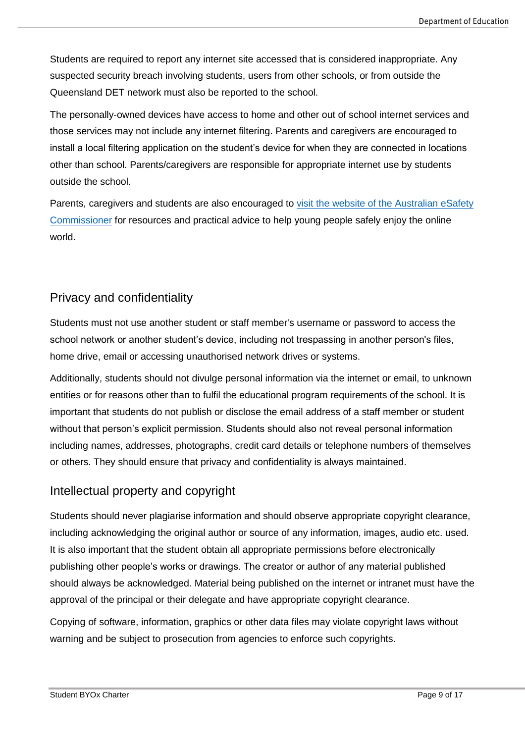Students are required to report any internet site accessed that is considered inappropriate. Any suspected security breach involving students, users from other schools, or from outside the Queensland DET network must also be reported to the school.

The personally-owned devices have access to home and other out of school internet services and those services may not include any internet filtering. Parents and caregivers are encouraged to install a local filtering application on the student's device for when they are connected in locations other than school. Parents/caregivers are responsible for appropriate internet use by students outside the school.

Parents, caregivers and students are also encouraged to [visit the website of the Australian eSafety](https://www.esafety.gov.au/)  [Commissioner](https://www.esafety.gov.au/) for resources and practical advice to help young people safely enjoy the online world.

## <span id="page-8-0"></span>Privacy and confidentiality

Students must not use another student or staff member's username or password to access the school network or another student's device, including not trespassing in another person's files, home drive, email or accessing unauthorised network drives or systems.

Additionally, students should not divulge personal information via the internet or email, to unknown entities or for reasons other than to fulfil the educational program requirements of the school. It is important that students do not publish or disclose the email address of a staff member or student without that person's explicit permission. Students should also not reveal personal information including names, addresses, photographs, credit card details or telephone numbers of themselves or others. They should ensure that privacy and confidentiality is always maintained.

## <span id="page-8-1"></span>Intellectual property and copyright

Students should never plagiarise information and should observe appropriate copyright clearance, including acknowledging the original author or source of any information, images, audio etc. used. It is also important that the student obtain all appropriate permissions before electronically publishing other people's works or drawings. The creator or author of any material published should always be acknowledged. Material being published on the internet or intranet must have the approval of the principal or their delegate and have appropriate copyright clearance.

<span id="page-8-2"></span>Copying of software, information, graphics or other data files may violate copyright laws without warning and be subject to prosecution from agencies to enforce such copyrights.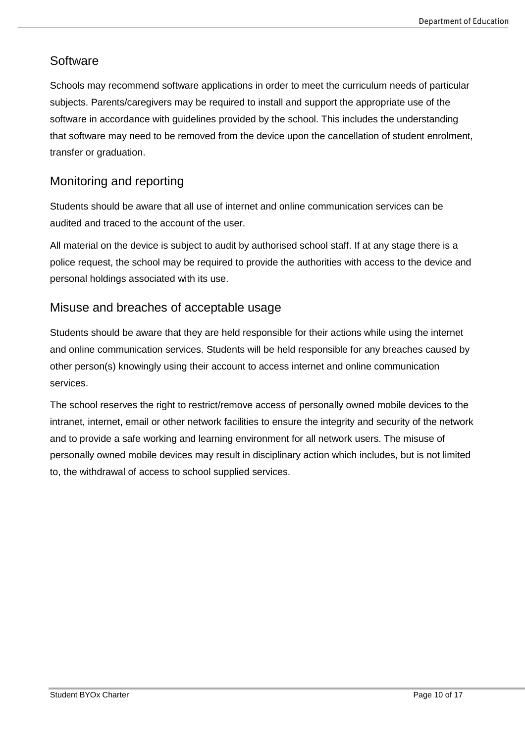## **Software**

Schools may recommend software applications in order to meet the curriculum needs of particular subjects. Parents/caregivers may be required to install and support the appropriate use of the software in accordance with guidelines provided by the school. This includes the understanding that software may need to be removed from the device upon the cancellation of student enrolment, transfer or graduation.

## <span id="page-9-0"></span>Monitoring and reporting

Students should be aware that all use of internet and online communication services can be audited and traced to the account of the user.

All material on the device is subject to audit by authorised school staff. If at any stage there is a police request, the school may be required to provide the authorities with access to the device and personal holdings associated with its use.

### <span id="page-9-1"></span>Misuse and breaches of acceptable usage

Students should be aware that they are held responsible for their actions while using the internet and online communication services. Students will be held responsible for any breaches caused by other person(s) knowingly using their account to access internet and online communication services.

The school reserves the right to restrict/remove access of personally owned mobile devices to the intranet, internet, email or other network facilities to ensure the integrity and security of the network and to provide a safe working and learning environment for all network users. The misuse of personally owned mobile devices may result in disciplinary action which includes, but is not limited to, the withdrawal of access to school supplied services.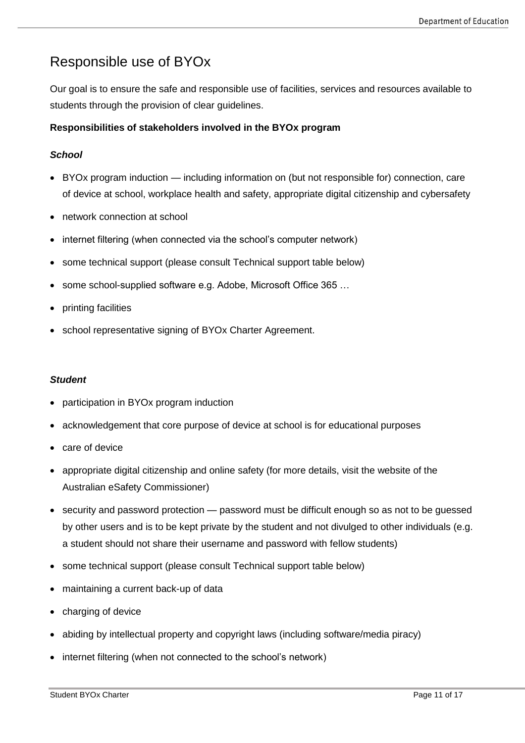# <span id="page-10-0"></span>Responsible use of BYOx

Our goal is to ensure the safe and responsible use of facilities, services and resources available to students through the provision of clear guidelines.

#### **Responsibilities of stakeholders involved in the BYOx program**

#### *School*

- BYOx program induction including information on (but not responsible for) connection, care of device at school, workplace health and safety, appropriate digital citizenship and cybersafety
- network connection at school
- internet filtering (when connected via the school's computer network)
- some technical support (please consult Technical support table below)
- some school-supplied software e.g. Adobe, Microsoft Office 365 …
- printing facilities
- school representative signing of BYOx Charter Agreement.

#### *Student*

- participation in BYOx program induction
- acknowledgement that core purpose of device at school is for educational purposes
- care of device
- appropriate digital citizenship and online safety (for more details, [visit the website of the](https://www.esafety.gov.au/)  [Australian eSafety Commissioner\)](https://www.esafety.gov.au/)
- security and password protection password must be difficult enough so as not to be quessed by other users and is to be kept private by the student and not divulged to other individuals (e.g. a student should not share their username and password with fellow students)
- some technical support (please consult Technical support table below)
- maintaining a current back-up of data
- charging of device
- abiding by intellectual property and copyright laws (including software/media piracy)
- internet filtering (when not connected to the school's network)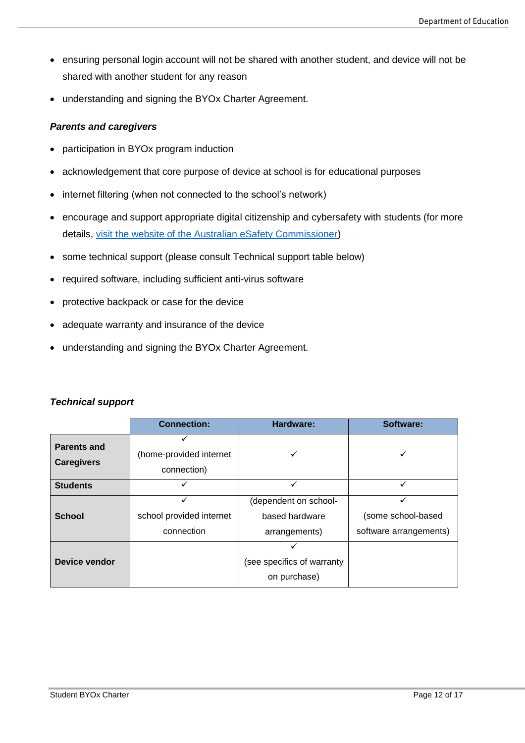- ensuring personal login account will not be shared with another student, and device will not be shared with another student for any reason
- understanding and signing the BYOx Charter Agreement.

#### *Parents and caregivers*

- participation in BYOx program induction
- acknowledgement that core purpose of device at school is for educational purposes
- internet filtering (when not connected to the school's network)
- encourage and support appropriate digital citizenship and cybersafety with students (for more details, [visit the website of the Australian eSafety Commissioner\)](https://www.esafety.gov.au/)
- some technical support (please consult Technical support table below)
- required software, including sufficient anti-virus software
- protective backpack or case for the device
- adequate warranty and insurance of the device
- understanding and signing the BYOx Charter Agreement.

|                                         | <b>Connection:</b>                     | Hardware:                                                | Software:                                         |
|-----------------------------------------|----------------------------------------|----------------------------------------------------------|---------------------------------------------------|
| <b>Parents and</b><br><b>Caregivers</b> | (home-provided internet<br>connection) |                                                          |                                                   |
| <b>Students</b>                         |                                        |                                                          |                                                   |
| <b>School</b>                           | school provided internet<br>connection | (dependent on school-<br>based hardware<br>arrangements) | ✓<br>(some school-based<br>software arrangements) |
| Device vendor                           |                                        | (see specifics of warranty<br>on purchase)               |                                                   |

#### *Technical support*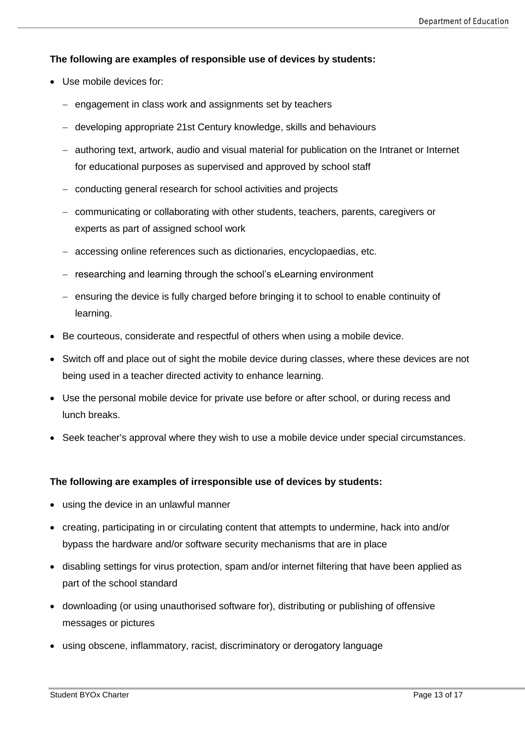#### **The following are examples of responsible use of devices by students:**

- Use mobile devices for:
	- engagement in class work and assignments set by teachers
	- − developing appropriate 21st Century knowledge, skills and behaviours
	- − authoring text, artwork, audio and visual material for publication on the Intranet or Internet for educational purposes as supervised and approved by school staff
	- − conducting general research for school activities and projects
	- − communicating or collaborating with other students, teachers, parents, caregivers or experts as part of assigned school work
	- − accessing online references such as dictionaries, encyclopaedias, etc.
	- − researching and learning through the school's eLearning environment
	- − ensuring the device is fully charged before bringing it to school to enable continuity of learning.
- Be courteous, considerate and respectful of others when using a mobile device.
- Switch off and place out of sight the mobile device during classes, where these devices are not being used in a teacher directed activity to enhance learning.
- Use the personal mobile device for private use before or after school, or during recess and lunch breaks.
- Seek teacher's approval where they wish to use a mobile device under special circumstances.

#### **The following are examples of irresponsible use of devices by students:**

- using the device in an unlawful manner
- creating, participating in or circulating content that attempts to undermine, hack into and/or bypass the hardware and/or software security mechanisms that are in place
- disabling settings for virus protection, spam and/or internet filtering that have been applied as part of the school standard
- downloading (or using unauthorised software for), distributing or publishing of offensive messages or pictures
- using obscene, inflammatory, racist, discriminatory or derogatory language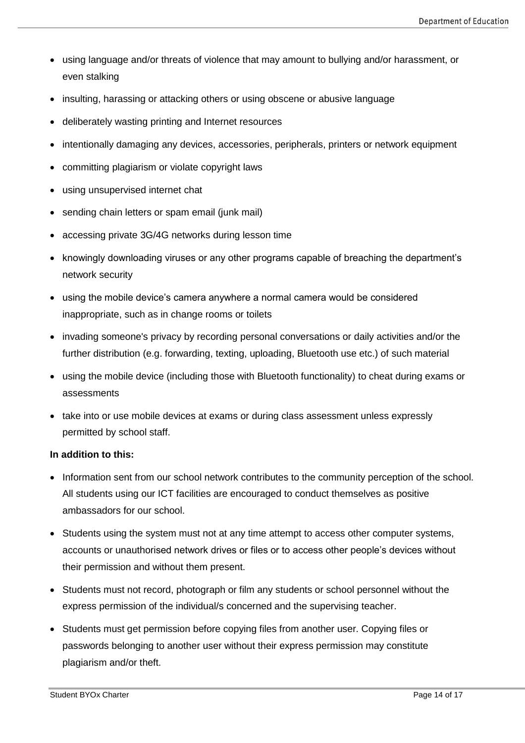- using language and/or threats of violence that may amount to bullying and/or harassment, or even stalking
- insulting, harassing or attacking others or using obscene or abusive language
- deliberately wasting printing and Internet resources
- intentionally damaging any devices, accessories, peripherals, printers or network equipment
- committing plagiarism or violate copyright laws
- using unsupervised internet chat
- sending chain letters or spam email (junk mail)
- accessing private 3G/4G networks during lesson time
- knowingly downloading viruses or any other programs capable of breaching the department's network security
- using the mobile device's camera anywhere a normal camera would be considered inappropriate, such as in change rooms or toilets
- invading someone's privacy by recording personal conversations or daily activities and/or the further distribution (e.g. forwarding, texting, uploading, Bluetooth use etc.) of such material
- using the mobile device (including those with Bluetooth functionality) to cheat during exams or assessments
- take into or use mobile devices at exams or during class assessment unless expressly permitted by school staff.

#### **In addition to this:**

- Information sent from our school network contributes to the community perception of the school. All students using our ICT facilities are encouraged to conduct themselves as positive ambassadors for our school.
- Students using the system must not at any time attempt to access other computer systems, accounts or unauthorised network drives or files or to access other people's devices without their permission and without them present.
- Students must not record, photograph or film any students or school personnel without the express permission of the individual/s concerned and the supervising teacher.
- Students must get permission before copying files from another user. Copying files or passwords belonging to another user without their express permission may constitute plagiarism and/or theft.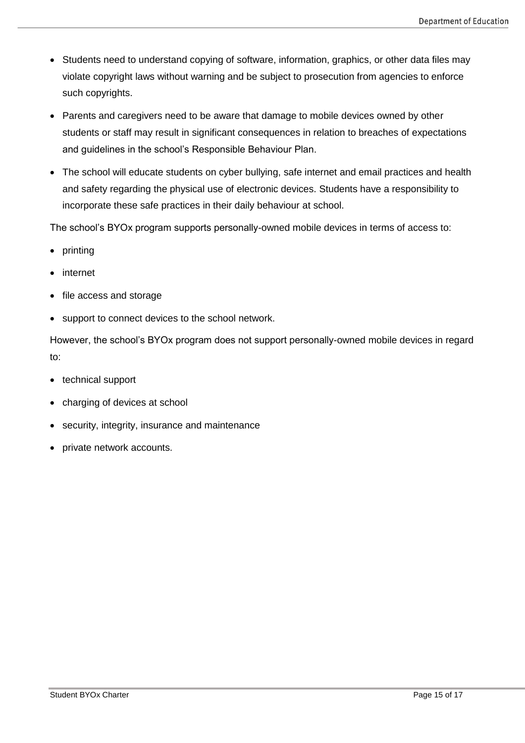- Students need to understand copying of software, information, graphics, or other data files may violate copyright laws without warning and be subject to prosecution from agencies to enforce such copyrights.
- Parents and caregivers need to be aware that damage to mobile devices owned by other students or staff may result in significant consequences in relation to breaches of expectations and guidelines in the school's Responsible Behaviour Plan.
- The school will educate students on cyber bullying, safe internet and email practices and health and safety regarding the physical use of electronic devices. Students have a responsibility to incorporate these safe practices in their daily behaviour at school.

The school's BYOx program supports personally-owned mobile devices in terms of access to:

- printing
- internet
- file access and storage
- support to connect devices to the school network.

However, the school's BYOx program does not support personally-owned mobile devices in regard to:

- technical support
- charging of devices at school
- security, integrity, insurance and maintenance
- private network accounts.